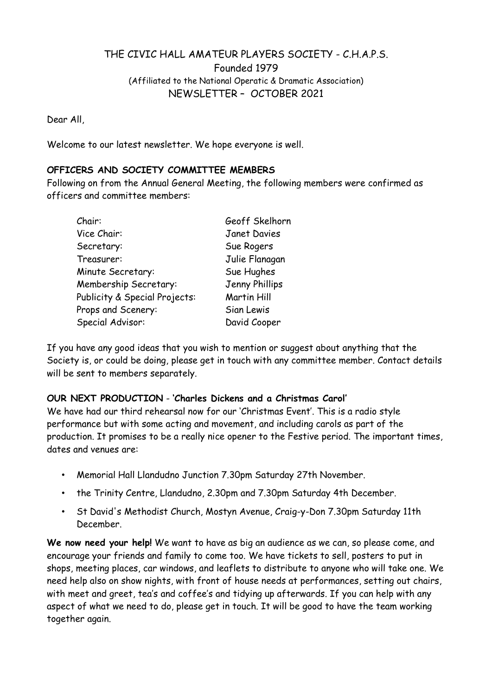# THE CIVIC HALL AMATEUR PLAYERS SOCIETY - C.H.A.P.S.

Founded 1979

(Affiliated to the National Operatic & Dramatic Association)

NEWSLETTER – OCTOBER 2021

Dear All,

Welcome to our latest newsletter. We hope everyone is well.

#### OFFICERS AND SOCIETY COMMITTEE MEMBERS

Following on from the Annual General Meeting, the following members were confirmed as officers and committee members:

| Chair:                        | Geoff Skelhorn      |
|-------------------------------|---------------------|
| Vice Chair:                   | <b>Janet Davies</b> |
| Secretary:                    | Sue Rogers          |
| Treasurer:                    | Julie Flanagan      |
| Minute Secretary:             | Sue Hughes          |
| Membership Secretary:         | Jenny Phillips      |
| Publicity & Special Projects: | Martin Hill         |
| Props and Scenery:            | Sian Lewis          |
| Special Advisor:              | David Cooper        |

If you have any good ideas that you wish to mention or suggest about anything that the Society is, or could be doing, please get in touch with any committee member. Contact details will be sent to members separately.

#### OUR NEXT PRODUCTION - 'Charles Dickens and a Christmas Carol·

We have had our third rehearsal now for our 'Christmas Event'. This is a radio style performance but with some acting and movement, and including carols as part of the production. It promises to be a really nice opener to the Festive period. The important times, dates and venues are:

- Memorial Hall Llandudno Junction 7.30pm Saturday 27th November.
- the Trinity Centre, Llandudno, 2.30pm and 7.30pm Saturday 4th December.
- St David's Methodist Church, Mostyn Avenue, Craig-y-Don 7.30pm Saturday 11th December.

We now need your help! We want to have as big an audience as we can, so please come, and encourage your friends and family to come too. We have tickets to sell, posters to put in shops, meeting places, car windows, and leaflets to distribute to anyone who will take one. We need help also on show nights, with front of house needs at performances, setting out chairs, with meet and greet, tea's and coffee's and tidying up afterwards. If you can help with any aspect of what we need to do, please get in touch. It will be good to have the team working together again.